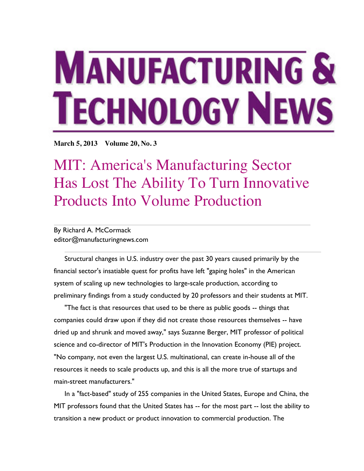## **MANUFACTURING & TECHNOLOGY NEWS**

**March 5, 2013 Volume 20, No. 3**

MIT: America's Manufacturing Sector Has Lost The Ability To Turn Innovative Products Into Volume Production

## By Richard A. McCormack editor@manufacturingnews.com

Structural changes in U.S. industry over the past 30 years caused primarily by the financial sector's insatiable quest for profits have left "gaping holes" in the American system of scaling up new technologies to large-scale production, according to preliminary findings from a study conducted by 20 professors and their students at MIT.

"The fact is that resources that used to be there as public goods -- things that companies could draw upon if they did not create those resources themselves -- have dried up and shrunk and moved away," says Suzanne Berger, MIT professor of political science and co-director of MIT's Production in the Innovation Economy (PIE) project. "No company, not even the largest U.S. multinational, can create in-house all of the resources it needs to scale products up, and this is all the more true of startups and main-street manufacturers."

In a "fact-based" study of 255 companies in the United States, Europe and China, the MIT professors found that the United States has -- for the most part -- lost the ability to transition a new product or product innovation to commercial production. The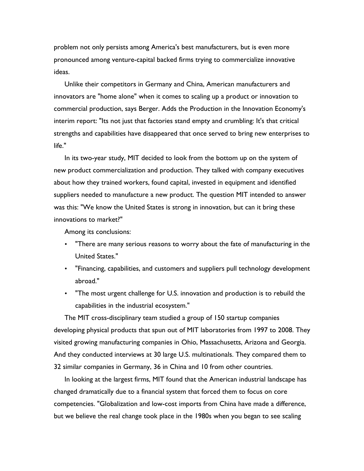problem not only persists among America's best manufacturers, but is even more pronounced among venture-capital backed firms trying to commercialize innovative ideas.

Unlike their competitors in Germany and China, American manufacturers and innovators are "home alone" when it comes to scaling up a product or innovation to commercial production, says Berger. Adds the Production in the Innovation Economy's interim report: "Its not just that factories stand empty and crumbling: It's that critical strengths and capabilities have disappeared that once served to bring new enterprises to life."

In its two-year study, MIT decided to look from the bottom up on the system of new product commercialization and production. They talked with company executives about how they trained workers, found capital, invested in equipment and identified suppliers needed to manufacture a new product. The question MIT intended to answer was this: "We know the United States is strong in innovation, but can it bring these innovations to market?"

Among its conclusions:

- "There are many serious reasons to worry about the fate of manufacturing in the United States."
- "Financing, capabilities, and customers and suppliers pull technology development abroad."
- "The most urgent challenge for U.S. innovation and production is to rebuild the capabilities in the industrial ecosystem."

The MIT cross-disciplinary team studied a group of 150 startup companies developing physical products that spun out of MIT laboratories from 1997 to 2008. They visited growing manufacturing companies in Ohio, Massachusetts, Arizona and Georgia. And they conducted interviews at 30 large U.S. multinationals. They compared them to 32 similar companies in Germany, 36 in China and 10 from other countries.

In looking at the largest firms, MIT found that the American industrial landscape has changed dramatically due to a financial system that forced them to focus on core competencies. "Globalization and low-cost imports from China have made a difference, but we believe the real change took place in the 1980s when you began to see scaling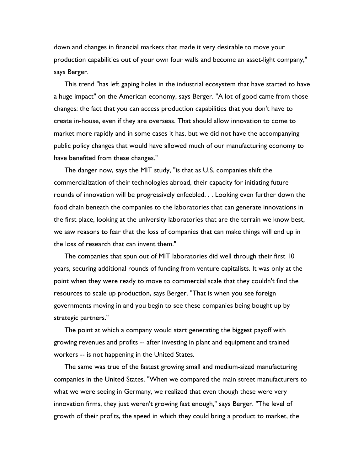down and changes in financial markets that made it very desirable to move your production capabilities out of your own four walls and become an asset-light company," says Berger.

This trend "has left gaping holes in the industrial ecosystem that have started to have a huge impact" on the American economy, says Berger. "A lot of good came from those changes: the fact that you can access production capabilities that you don't have to create in-house, even if they are overseas. That should allow innovation to come to market more rapidly and in some cases it has, but we did not have the accompanying public policy changes that would have allowed much of our manufacturing economy to have benefited from these changes."

The danger now, says the MIT study, "is that as U.S. companies shift the commercialization of their technologies abroad, their capacity for initiating future rounds of innovation will be progressively enfeebled. . . Looking even further down the food chain beneath the companies to the laboratories that can generate innovations in the first place, looking at the university laboratories that are the terrain we know best, we saw reasons to fear that the loss of companies that can make things will end up in the loss of research that can invent them."

The companies that spun out of MIT laboratories did well through their first 10 years, securing additional rounds of funding from venture capitalists. It was only at the point when they were ready to move to commercial scale that they couldn't find the resources to scale up production, says Berger. "That is when you see foreign governments moving in and you begin to see these companies being bought up by strategic partners."

The point at which a company would start generating the biggest payoff with growing revenues and profits -- after investing in plant and equipment and trained workers -- is not happening in the United States.

The same was true of the fastest growing small and medium-sized manufacturing companies in the United States. "When we compared the main street manufacturers to what we were seeing in Germany, we realized that even though these were very innovation firms, they just weren't growing fast enough," says Berger. "The level of growth of their profits, the speed in which they could bring a product to market, the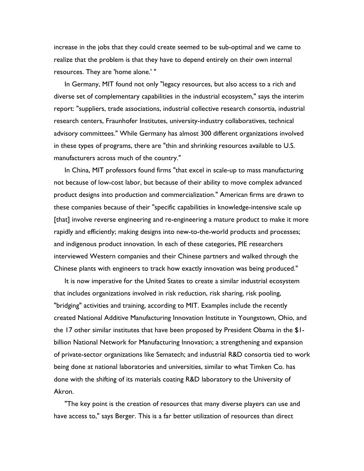increase in the jobs that they could create seemed to be sub-optimal and we came to realize that the problem is that they have to depend entirely on their own internal resources. They are 'home alone.' "

In Germany, MIT found not only "legacy resources, but also access to a rich and diverse set of complementary capabilities in the industrial ecosystem," says the interim report: "suppliers, trade associations, industrial collective research consortia, industrial research centers, Fraunhofer Institutes, university-industry collaboratives, technical advisory committees." While Germany has almost 300 different organizations involved in these types of programs, there are "thin and shrinking resources available to U.S. manufacturers across much of the country."

In China, MIT professors found firms "that excel in scale-up to mass manufacturing not because of low-cost labor, but because of their ability to move complex advanced product designs into production and commercialization." American firms are drawn to these companies because of their "specific capabilities in knowledge-intensive scale up [that] involve reverse engineering and re-engineering a mature product to make it more rapidly and efficiently; making designs into new-to-the-world products and processes; and indigenous product innovation. In each of these categories, PIE researchers interviewed Western companies and their Chinese partners and walked through the Chinese plants with engineers to track how exactly innovation was being produced."

It is now imperative for the United States to create a similar industrial ecosystem that includes organizations involved in risk reduction, risk sharing, risk pooling, "bridging" activities and training, according to MIT. Examples include the recently created National Additive Manufacturing Innovation Institute in Youngstown, Ohio, and the 17 other similar institutes that have been proposed by President Obama in the \$1 billion National Network for Manufacturing Innovation; a strengthening and expansion of private-sector organizations like Sematech; and industrial R&D consortia tied to work being done at national laboratories and universities, similar to what Timken Co. has done with the shifting of its materials coating R&D laboratory to the University of Akron.

"The key point is the creation of resources that many diverse players can use and have access to," says Berger. This is a far better utilization of resources than direct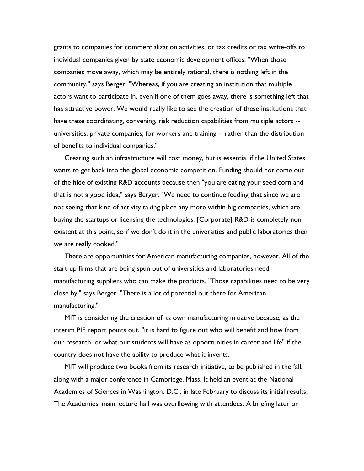grants to companies for commercialization activities, or tax credits or tax write-offs to individual companies given by state economic development offices. "When those companies move away, which may be entirely rational, there is nothing left in the community," says Berger. "Whereas, if you are creating an institution that multiple actors want to participate in, even if one of them goes away, there is something left that has attractive power. We would really like to see the creation of these institutions that have these coordinating, convening, risk reduction capabilities from multiple actors - universities, private companies, for workers and training -- rather than the distribution of benefits to individual companies."

Creating such an infrastructure will cost money, but is essential if the United States wants to get back into the global economic competition. Funding should not come out of the hide of existing R&D accounts because then "you are eating your seed corn and that is not a good idea," says Berger. "We need to continue feeding that since we are not seeing that kind of activity taking place any more within big companies, which are buying the startups or licensing the technologies. [Corporate] R&D is completely non existent at this point, so if we don't do it in the universities and public laboratories then we are really cooked,"

There are opportunities for American manufacturing companies, however. All of the start-up firms that are being spun out of universities and laboratories need manufacturing suppliers who can make the products. "Those capabilities need to be very close by," says Berger. "There is a lot of potential out there for American manufacturing."

MIT is considering the creation of its own manufacturing initiative because, as the interim PIE report points out, "it is hard to figure out who will benefit and how from our research, or what our students will have as opportunities in career and life" if the country does not have the ability to produce what it invents.

MIT will produce two books from its research initiative, to be published in the fall, along with a major conference in Cambridge, Mass. It held an event at the National Academies of Sciences in Washington, D.C., in late February to discuss its initial results. The Academies' main lecture hall was overflowing with attendees. A briefing later on